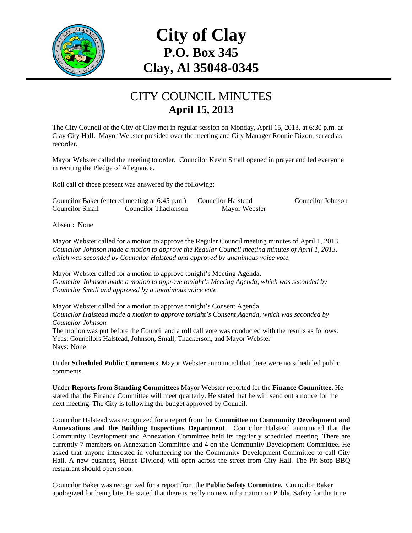

## **City of Clay P.O. Box 345 Clay, Al 35048-0345**

## CITY COUNCIL MINUTES **April 15, 2013**

The City Council of the City of Clay met in regular session on Monday, April 15, 2013, at 6:30 p.m. at Clay City Hall. Mayor Webster presided over the meeting and City Manager Ronnie Dixon, served as recorder.

Mayor Webster called the meeting to order. Councilor Kevin Small opened in prayer and led everyone in reciting the Pledge of Allegiance.

Roll call of those present was answered by the following:

|                 | Councilor Baker (entered meeting at 6:45 p.m.) | Councilor Halstead | Councilor Johnson |
|-----------------|------------------------------------------------|--------------------|-------------------|
| Councilor Small | Councilor Thackerson                           | Mayor Webster      |                   |

Absent: None

Mayor Webster called for a motion to approve the Regular Council meeting minutes of April 1, 2013. *Councilor Johnson made a motion to approve the Regular Council meeting minutes of April 1, 2013, which was seconded by Councilor Halstead and approved by unanimous voice vote.* 

Mayor Webster called for a motion to approve tonight's Meeting Agenda. *Councilor Johnson made a motion to approve tonight's Meeting Agenda, which was seconded by Councilor Small and approved by a unanimous voice vote.* 

Mayor Webster called for a motion to approve tonight's Consent Agenda. *Councilor Halstead made a motion to approve tonight's Consent Agenda, which was seconded by Councilor Johnson.*  The motion was put before the Council and a roll call vote was conducted with the results as follows: Yeas: Councilors Halstead, Johnson, Small, Thackerson, and Mayor Webster

Nays: None

Under **Scheduled Public Comments**, Mayor Webster announced that there were no scheduled public comments.

Under **Reports from Standing Committees** Mayor Webster reported for the **Finance Committee.** He stated that the Finance Committee will meet quarterly. He stated that he will send out a notice for the next meeting. The City is following the budget approved by Council.

Councilor Halstead was recognized for a report from the **Committee on Community Development and Annexations and the Building Inspections Department**. Councilor Halstead announced that the Community Development and Annexation Committee held its regularly scheduled meeting. There are currently 7 members on Annexation Committee and 4 on the Community Development Committee. He asked that anyone interested in volunteering for the Community Development Committee to call City Hall. A new business, House Divided, will open across the street from City Hall. The Pit Stop BBQ restaurant should open soon.

Councilor Baker was recognized for a report from the **Public Safety Committee**. Councilor Baker apologized for being late. He stated that there is really no new information on Public Safety for the time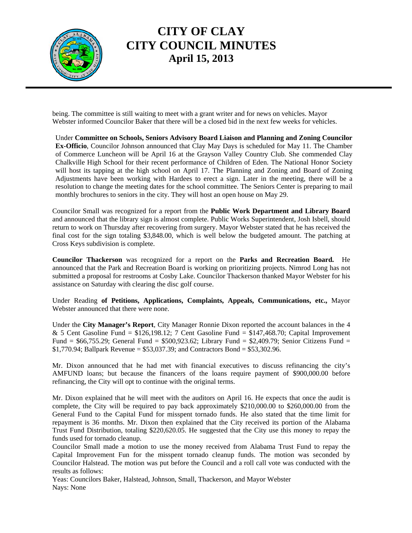

## **CITY OF CLAY CITY COUNCIL MINUTES April 15, 2013**

being. The committee is still waiting to meet with a grant writer and for news on vehicles. Mayor Webster informed Councilor Baker that there will be a closed bid in the next few weeks for vehicles.

Under **Committee on Schools, Seniors Advisory Board Liaison and Planning and Zoning Councilor Ex-Officio**, Councilor Johnson announced that Clay May Days is scheduled for May 11. The Chamber of Commerce Luncheon will be April 16 at the Grayson Valley Country Club. She commended Clay Chalkville High School for their recent performance of Children of Eden. The National Honor Society will host its tapping at the high school on April 17. The Planning and Zoning and Board of Zoning Adjustments have been working with Hardees to erect a sign. Later in the meeting, there will be a resolution to change the meeting dates for the school committee. The Seniors Center is preparing to mail monthly brochures to seniors in the city. They will host an open house on May 29.

Councilor Small was recognized for a report from the **Public Work Department and Library Board** and announced that the library sign is almost complete. Public Works Superintendent, Josh Isbell, should return to work on Thursday after recovering from surgery. Mayor Webster stated that he has received the final cost for the sign totaling \$3,848.00, which is well below the budgeted amount. The patching at Cross Keys subdivision is complete.

**Councilor Thackerson** was recognized for a report on the **Parks and Recreation Board.** He announced that the Park and Recreation Board is working on prioritizing projects. Nimrod Long has not submitted a proposal for restrooms at Cosby Lake. Councilor Thackerson thanked Mayor Webster for his assistance on Saturday with clearing the disc golf course.

Under Reading **of Petitions, Applications, Complaints, Appeals, Communications, etc.,** Mayor Webster announced that there were none.

Under the **City Manager's Report**, City Manager Ronnie Dixon reported the account balances in the 4 & 5 Cent Gasoline Fund =  $$126,198.12$ ; 7 Cent Gasoline Fund =  $$147,468.70$ ; Capital Improvement Fund = \$66,755.29; General Fund = \$500,923.62; Library Fund = \$2,409.79; Senior Citizens Fund = \$1,770.94; Ballpark Revenue = \$53,037.39; and Contractors Bond = \$53,302.96.

Mr. Dixon announced that he had met with financial executives to discuss refinancing the city's AMFUND loans; but because the financers of the loans require payment of \$900,000.00 before refinancing, the City will opt to continue with the original terms.

Mr. Dixon explained that he will meet with the auditors on April 16. He expects that once the audit is complete, the City will be required to pay back approximately \$210,000.00 to \$260,000.00 from the General Fund to the Capital Fund for misspent tornado funds. He also stated that the time limit for repayment is 36 months. Mr. Dixon then explained that the City received its portion of the Alabama Trust Fund Distribution, totaling \$220,620.05. He suggested that the City use this money to repay the funds used for tornado cleanup.

Councilor Small made a motion to use the money received from Alabama Trust Fund to repay the Capital Improvement Fun for the misspent tornado cleanup funds. The motion was seconded by Councilor Halstead. The motion was put before the Council and a roll call vote was conducted with the results as follows:

Yeas: Councilors Baker, Halstead, Johnson, Small, Thackerson, and Mayor Webster Nays: None